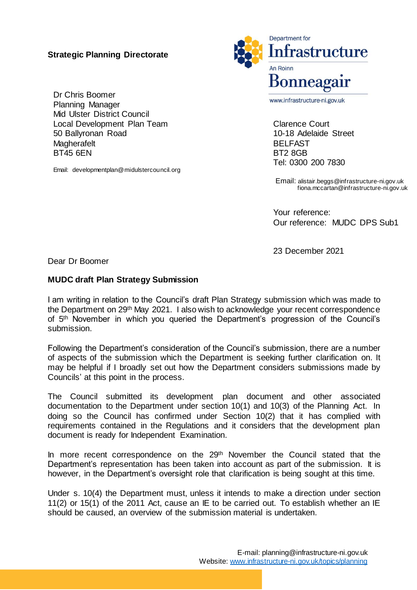## **Strategic Planning Directorate**

Dr Chris Boomer Planning Manager Mid Ulster District Council Local Development Plan Team 50 Ballyronan Road **Magherafelt** BT45 6EN

Email: developmentplan@midulstercouncil.org



www.infrastructure-ni.gov.uk

Clarence Court 10-18 Adelaide Street BELFAST BT2 8GB Tel: 0300 200 7830

Email: [alistair.beggs@infrastructure-ni.gov.uk](mailto:angus.kerr@infrastructure-ni.gov.uk) fiona.mccartan@infrastructure-ni.gov.uk

Your reference: Our reference: MUDC DPS Sub1

23 December 2021

Dear Dr Boomer

## **MUDC draft Plan Strategy Submission**

I am writing in relation to the Council's draft Plan Strategy submission which was made to the Department on 29th May 2021. I also wish to acknowledge your recent correspondence of 5<sup>th</sup> November in which you queried the Department's progression of the Council's submission.

Following the Department's consideration of the Council's submission, there are a number of aspects of the submission which the Department is seeking further clarification on. It may be helpful if I broadly set out how the Department considers submissions made by Councils' at this point in the process.

The Council submitted its development plan document and other associated documentation to the Department under section 10(1) and 10(3) of the Planning Act. In doing so the Council has confirmed under Section 10(2) that it has complied with requirements contained in the Regulations and it considers that the development plan document is ready for Independent Examination.

In more recent correspondence on the 29<sup>th</sup> November the Council stated that the Department's representation has been taken into account as part of the submission. It is however, in the Department's oversight role that clarification is being sought at this time.

Under s. 10(4) the Department must, unless it intends to make a direction under section 11(2) or 15(1) of the 2011 Act, cause an IE to be carried out. To establish whether an IE should be caused, an overview of the submission material is undertaken.